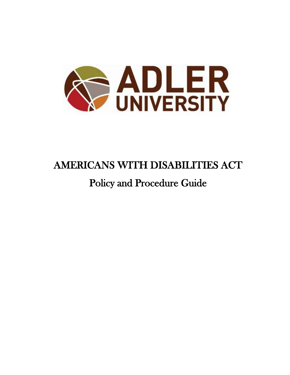

# AMERICANS WITH DISABILITIES ACT

## Policy and Procedure Guide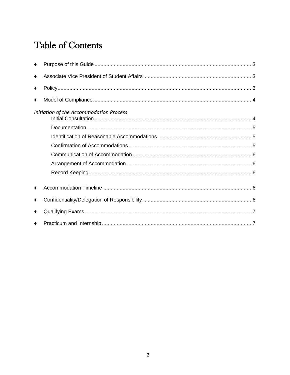## **Table of Contents**

| ٠         |                                                |  |
|-----------|------------------------------------------------|--|
| $\bullet$ |                                                |  |
| $\bullet$ |                                                |  |
| $\bullet$ |                                                |  |
|           | <b>Initiation of the Accommodation Process</b> |  |
|           |                                                |  |
|           |                                                |  |
|           |                                                |  |
|           |                                                |  |
|           |                                                |  |
|           |                                                |  |
| ٠         |                                                |  |
| ٠         |                                                |  |
| ٠         |                                                |  |
| $\bullet$ |                                                |  |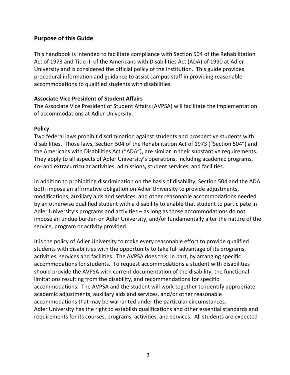#### **Purpose of this Guide**

This handbook is intended to facilitate compliance with Section 504 of the Rehabilitation Act of 1973 and Title III of the Americans with Disabilities Act (ADA) of 1990 at Adler University and is considered the official policy of the institution. This guide provides procedural information and guidance to assist campus staff in providing reasonable accommodations to qualified students with disabilities.

#### **Associate Vice President of Student Affairs**

The Associate Vice President of Student Affairs (AVPSA) will facilitate the implementation of accommodations at Adler University.

#### **Policy**

Two federal laws prohibit discrimination against students and prospective students with disabilities. Those laws, Section 504 of the Rehabilitation Act of 1973 ("Section 504") and the Americans with Disabilities Act ("ADA"), are similar in their substantive requirements. They apply to all aspects of Adler University's operations, including academic programs, co- and extracurricular activities, admissions, student services, and facilities.

In addition to prohibiting discrimination on the basis of disability, Section 504 and the ADA both impose an affirmative obligation on Adler University to provide adjustments, modifications, auxiliary aids and services, and other reasonable accommodations needed by an otherwise qualified student with a disability to enable that student to participate in Adler University's programs and activities – as long as those accommodations do not impose an undue burden on Adler University, and/or fundamentally alter the nature of the service, program or activity provided.

It is the policy of Adler University to make every reasonable effort to provide qualified students with disabilities with the opportunity to take full advantage of its programs, activities, services and facilities. The AVPSA does this, in part, by arranging specific accommodations for students. To request accommodations a student with disabilities should provide the AVPSA with current documentation of the disability, the functional limitations resulting from the disability, and recommendations for specific accommodations. The AVPSA and the student will work together to identify appropriate academic adjustments, auxiliary aids and services, and/or other reasonable accommodations that may be warranted under the particular circumstances. Adler University has the right to establish qualifications and other essential standards and requirements for its courses, programs, activities, and services. All students are expected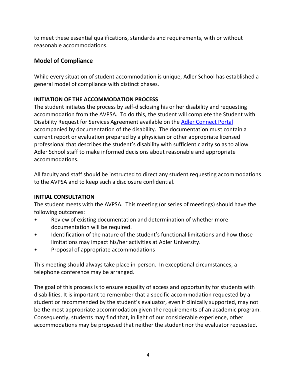to meet these essential qualifications, standards and requirements, with or without reasonable accommodations.

### **Model of Compliance**

While every situation of student accommodation is unique, Adler School has established a general model of compliance with distinct phases.

### **INITIATION OF THE ACCOMMODATION PROCESS**

The student initiates the process by self-disclosing his or her disability and requesting accommodation from the AVPSA. To do this, the student will complete the Student with Disability Request for Services Agreement available on the [Adler Connect Portal](https://connect.adler.edu/studentservices/studentaffairs/Pages/ada.aspx) accompanied by documentation of the disability. The documentation must contain a current report or evaluation prepared by a physician or other appropriate licensed professional that describes the student's disability with sufficient clarity so as to allow Adler School staff to make informed decisions about reasonable and appropriate accommodations.

All faculty and staff should be instructed to direct any student requesting accommodations to the AVPSA and to keep such a disclosure confidential.

#### **INITIAL CONSULTATION**

The student meets with the AVPSA. This meeting (or series of meetings) should have the following outcomes:

- Review of existing documentation and determination of whether more documentation will be required.
- Identification of the nature of the student's functional limitations and how those limitations may impact his/her activities at Adler University.
- Proposal of appropriate accommodations

This meeting should always take place in-person. In exceptional circumstances, a telephone conference may be arranged.

The goal of this process is to ensure equality of access and opportunity for students with disabilities. It is important to remember that a specific accommodation requested by a student or recommended by the student's evaluator, even if clinically supported, may not be the most appropriate accommodation given the requirements of an academic program. Consequently, students may find that, in light of our considerable experience, other accommodations may be proposed that neither the student nor the evaluator requested.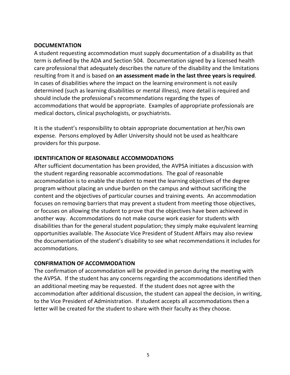#### **DOCUMENTATION**

A student requesting accommodation must supply documentation of a disability as that term is defined by the ADA and Section 504. Documentation signed by a licensed health care professional that adequately describes the nature of the disability and the limitations resulting from it and is based on **an assessment made in the last three years is required**. In cases of disabilities where the impact on the learning environment is not easily determined (such as learning disabilities or mental illness), more detail is required and should include the professional's recommendations regarding the types of accommodations that would be appropriate. Examples of appropriate professionals are medical doctors, clinical psychologists, or psychiatrists.

It is the student's responsibility to obtain appropriate documentation at her/his own expense. Persons employed by Adler University should not be used as healthcare providers for this purpose.

#### **IDENTIFICATION OF REASONABLE ACCOMMODATIONS**

After sufficient documentation has been provided, the AVPSA initiates a discussion with the student regarding reasonable accommodations. The goal of reasonable accommodation is to enable the student to meet the learning objectives of the degree program without placing an undue burden on the campus and without sacrificing the content and the objectives of particular courses and training events. An accommodation focuses on removing barriers that may prevent a student from meeting those objectives, or focuses on allowing the student to prove that the objectives have been achieved in another way. Accommodations do not make course work easier for students with disabilities than for the general student population; they simply make equivalent learning opportunities available. The Associate Vice President of Student Affairs may also review the documentation of the student's disability to see what recommendations it includes for accommodations.

#### **CONFIRMATION OF ACCOMMODATION**

The confirmation of accommodation will be provided in person during the meeting with the AVPSA. If the student has any concerns regarding the accommodations identified then an additional meeting may be requested. If the student does not agree with the accommodation after additional discussion, the student can appeal the decision, in writing, to the Vice President of Administration. If student accepts all accommodations then a letter will be created for the student to share with their faculty as they choose.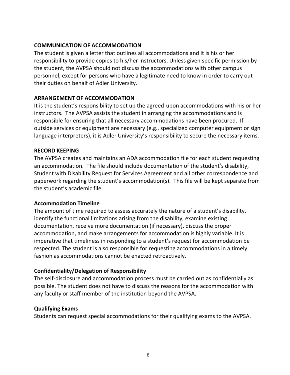#### **COMMUNICATION OF ACCOMMODATION**

The student is given a letter that outlines all accommodations and it is his or her responsibility to provide copies to his/her instructors. Unless given specific permission by the student, the AVPSA should not discuss the accommodations with other campus personnel, except for persons who have a legitimate need to know in order to carry out their duties on behalf of Adler University.

#### **ARRANGEMENT OF ACCOMMODATION**

It is the student's responsibility to set up the agreed-upon accommodations with his or her instructors. The AVPSA assists the student in arranging the accommodations and is responsible for ensuring that all necessary accommodations have been procured. If outside services or equipment are necessary (e.g., specialized computer equipment or sign language interpreters), it is Adler University's responsibility to secure the necessary items.

#### **RECORD KEEPING**

The AVPSA creates and maintains an ADA accommodation file for each student requesting an accommodation. The file should include documentation of the student's disability, Student with Disability Request for Services Agreement and all other correspondence and paperwork regarding the student's accommodation(s). This file will be kept separate from the student's academic file.

#### **Accommodation Timeline**

The amount of time required to assess accurately the nature of a student's disability, identify the functional limitations arising from the disability, examine existing documentation, receive more documentation (if necessary), discuss the proper accommodation, and make arrangements for accommodation is highly variable. It is imperative that timeliness in responding to a student's request for accommodation be respected. The student is also responsible for requesting accommodations in a timely fashion as accommodations cannot be enacted retroactively.

#### **Confidentiality/Delegation of Responsibility**

The self-disclosure and accommodation process must be carried out as confidentially as possible. The student does not have to discuss the reasons for the accommodation with any faculty or staff member of the institution beyond the AVPSA.

#### **Qualifying Exams**

Students can request special accommodations for their qualifying exams to the AVPSA.